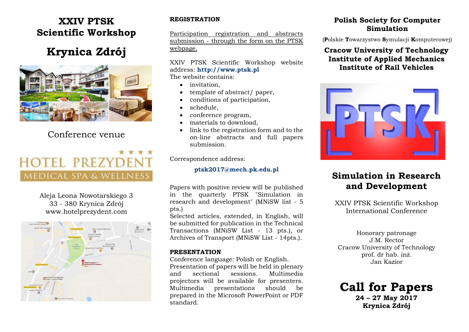### **XXIV PTSK Scientific Workshop**

## **Krynica Zdrój**



### Conference venue

# **HOTEL PREZY MEDICAL SPA & WELLNESS**

Aleja Leona Nowotarskiego 3 33 - 380 Krynica Zdrój www.hotelprezydent.com



### **REGISTRATION**

Participation registration and abstracts submission - through the form on the PTSK webpage.

#### XXIV PTSK Scientific Workshop website address: **http://www.ptsk.pl** The website contains:

- invitation,
- template of abstract/ paper,
- conditions of participation,
- schedule,
- conference program,
- materials to download,
- link to the registration form and to the on-line abstracts and full papers submission.

Correspondence address:

#### **ptsk2017@mech.pk.edu.pl**

Papers with positive review will be published in the quarterly PTSK "Simulation in research and development" (MNiSW list - 5 pts.)

Selected articles, extended, in English, will be submitted for publication in the Technical Transactions (MNiSW List - 13 pts.), or Archives of Transport (MNiSW List - 14pts.).

### **PRESENTATION**

Conference language: Polish or English. Presentation of papers will be held in plenary and sectional sessions. Multimedia projectors will be available for presenters. Multimedia presentations should be prepared in the Microsoft PowerPoint or PDF standard.

### **Polish Society for Computer Simulation**

(**P**olskie **T**owarzystwo **S**ymulacji **K**omputerowej)

### **Cracow University of Technology Institute of Applied Mechanics Institute of Rail Vehicles**



### **Simulation in Research and Development**

XXIV PTSK Scientific Workshop International Conference

Honorary patronage J.M. Rector Cracow University of Technology prof. dr hab. inż. Jan Kazior

**Call for Papers 24 – 27 May 2017 Krynica Zdrój**